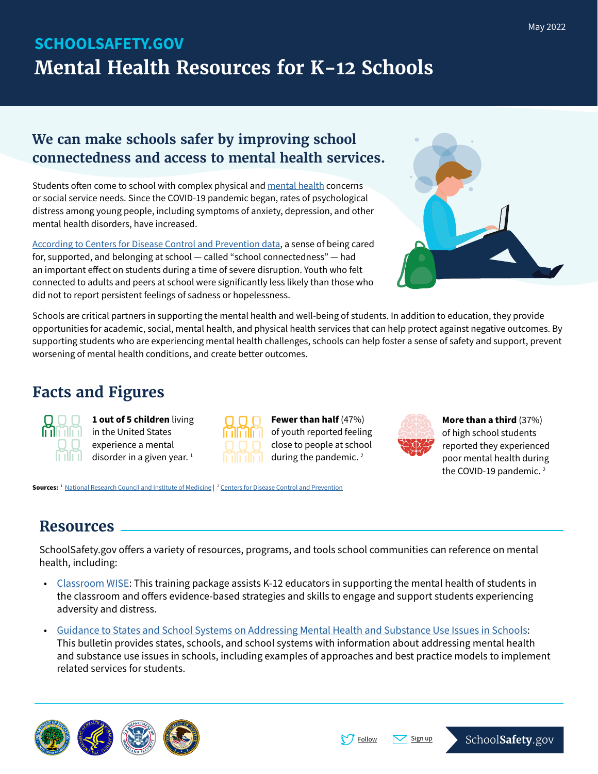# SCHOOLSAFETY.GOV **Mental Health Resources for K-12 Schools**

### **We can make schools safer by improving school connectedness and access to mental health services.**

Students often come to school with complex physical and [mental health](https://www.cdc.gov/childrensmentalhealth/basics.html) concerns or social service needs. Since the COVID-19 pandemic began, rates of psychological distress among young people, including symptoms of anxiety, depression, and other mental health disorders, have increased.

[According to Centers for Disease Control and Prevention data,](https://www.cdc.gov/media/releases/2022/p0331-youth-mental-health-covid-19.html) a sense of being cared for, supported, and belonging at school — called "school connectedness" — had an important effect on students during a time of severe disruption. Youth who felt connected to adults and peers at school were significantly less likely than those who did not to report persistent feelings of sadness or hopelessness.



Schools are critical partners in supporting the mental health and well-being of students. In addition to education, they provide opportunities for academic, social, mental health, and physical health services that can help protect against negative outcomes. By supporting students who are experiencing mental health challenges, schools can help foster a sense of safety and support, prevent worsening of mental health conditions, and create better outcomes.

## **Facts and Figures**



**1 out of 5 children** living in the United States experience a mental  $\| \cdot \|$  disorder in a given year. <sup>1</sup>

**Sources:** <sup>1.</sup> [National Research Council and Institute of Medicin](https://www.ncbi.nlm.nih.gov/books/NBK32776/)e | <sup>2</sup> [Centers for Disease Control and Prevention](https://www.cdc.gov/mmwr/volumes/71/su/pdfs/su7103a1-a5-H.pdf)

| ı | шш | ı |
|---|----|---|
|   |    |   |

**Fewer than half** (47%) of youth reported feeling close to people at school during the pandemic.<sup>2</sup>



**More than a third** (37%) of high school students reported they experienced poor mental health during the COVID-19 pandemic. $2$ 

## **Resources**

SchoolSafety.gov offers a variety of resources, programs, and tools school communities can reference on mental health, including:

- [Classroom WISE](https://www.classroomwise.org/): This training package assists K-12 educators in supporting the mental health of students in the classroom and offers evidence-based strategies and skills to engage and support students experiencing adversity and distress.
- [Guidance to States and School Systems on Addressing Mental Health and Substance Use Issues in Schools](https://www.medicaid.gov/sites/default/files/Federal-Policy-Guidance/Downloads/cib20190701.pdf): This bulletin provides states, schools, and school systems with information about addressing mental health and substance use issues in schools, including examples of approaches and best practice models to implement related services for students.